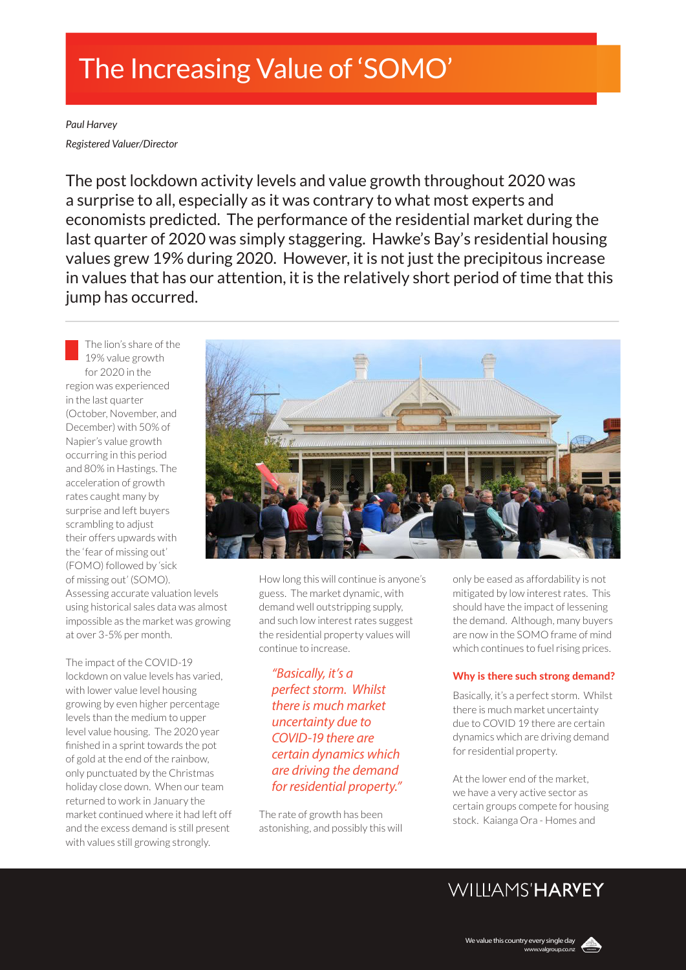# The Increasing Value of 'SOMO'

*Paul Harvey Registered Valuer/Director*

The post lockdown activity levels and value growth throughout 2020 was a surprise to all, especially as it was contrary to what most experts and economists predicted. The performance of the residential market during the last quarter of 2020 was simply staggering. Hawke's Bay's residential housing values grew 19% during 2020. However, it is not just the precipitous increase in values that has our attention, it is the relatively short period of time that this jump has occurred.

The lion's share of the 19% value growth for 2020 in the region was experienced in the last quarter (October, November, and December) with 50% of Napier's value growth occurring in this period and 80% in Hastings. The acceleration of growth rates caught many by surprise and left buyers scrambling to adjust their offers upwards with the 'fear of missing out' (FOMO) followed by 'sick of missing out' (SOMO).

Assessing accurate valuation levels using historical sales data was almost impossible as the market was growing at over 3-5% per month.

The impact of the COVID-19 lockdown on value levels has varied, with lower value level housing growing by even higher percentage levels than the medium to upper level value housing. The 2020 year finished in a sprint towards the pot of gold at the end of the rainbow, only punctuated by the Christmas holiday close down. When our team returned to work in January the market continued where it had left off and the excess demand is still present with values still growing strongly.



How long this will continue is anyone's guess. The market dynamic, with demand well outstripping supply, and such low interest rates suggest the residential property values will continue to increase.

*"Basically, it's a perfect storm. Whilst there is much market uncertainty due to COVID-19 there are certain dynamics which are driving the demand for residential property."*

The rate of growth has been astonishing, and possibly this will only be eased as affordability is not mitigated by low interest rates. This should have the impact of lessening the demand. Although, many buyers are now in the SOMO frame of mind which continues to fuel rising prices.

### Why is there such strong demand?

Basically, it's a perfect storm. Whilst there is much market uncertainty due to COVID 19 there are certain dynamics which are driving demand for residential property.

At the lower end of the market, we have a very active sector as certain groups compete for housing stock. Kaianga Ora - Homes and

## WILLIAMS'HARVEY